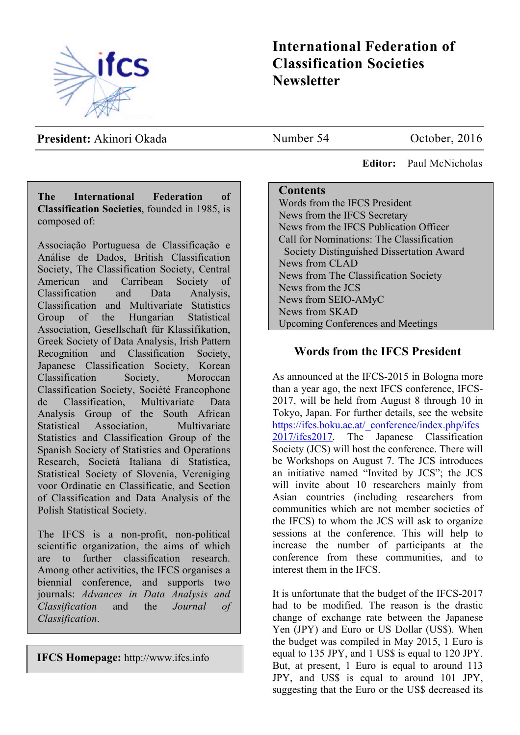

# **International Federation of Classification Societies Newsletter**

**President:** Akinori Okada

Number 54 October, 2016

 **Editor:** Paul McNicholas

## **Contents**

Words from the IFCS President News from the IFCS Secretary News from the IFCS Publication Officer Call for Nominations: The Classification Society Distinguished Dissertation Award News from CLAD News from The Classification Society News from the JCS News from SEIO-AMyC News from SKAD Upcoming Conferences and Meetings

# **Words from the IFCS President**

As announced at the IFCS-2015 in Bologna more than a year ago, the next IFCS conference, IFCS-2017, will be held from August 8 through 10 in Tokyo, Japan. For further details, see the website https://ifcs.boku.ac.at/\_conference/index.php/ifcs 2017/ifcs2017. The Japanese Classification Society (JCS) will host the conference. There will be Workshops on August 7. The JCS introduces an initiative named "Invited by JCS"; the JCS will invite about 10 researchers mainly from Asian countries (including researchers from communities which are not member societies of the IFCS) to whom the JCS will ask to organize sessions at the conference. This will help to increase the number of participants at the conference from these communities, and to interest them in the IFCS.

It is unfortunate that the budget of the IFCS-2017 had to be modified. The reason is the drastic change of exchange rate between the Japanese Yen (JPY) and Euro or US Dollar (US\$). When the budget was compiled in May 2015, 1 Euro is equal to 135 JPY, and 1 US\$ is equal to 120 JPY. But, at present, 1 Euro is equal to around 113 JPY, and US\$ is equal to around 101 JPY, suggesting that the Euro or the US\$ decreased its

**The International Federation of Classification Societies**, founded in 1985, is composed of:

Associação Portuguesa de Classificação e Análise de Dados, British Classification Society, The Classification Society, Central American and Carribean Society of Classification and Data Analysis, Classification and Multivariate Statistics Group of the Hungarian Statistical Association, Gesellschaft für Klassifikation, Greek Society of Data Analysis, Irish Pattern Recognition and Classification Society, Japanese Classification Society, Korean Classification Society, Moroccan Classification Society, Société Francophone de Classification, Multivariate Data Analysis Group of the South African Statistical Association, Multivariate Statistics and Classification Group of the Spanish Society of Statistics and Operations Research, Società Italiana di Statistica, Statistical Society of Slovenia, Vereniging voor Ordinatie en Classificatie, and Section of Classification and Data Analysis of the Polish Statistical Society.

The IFCS is a non-profit, non-political scientific organization, the aims of which are to further classification research. Among other activities, the IFCS organises a biennial conference, and supports two journals: *Advances in Data Analysis and Classification* and the *Journal of Classification*.

**IFCS Homepage:** http://www.ifcs.info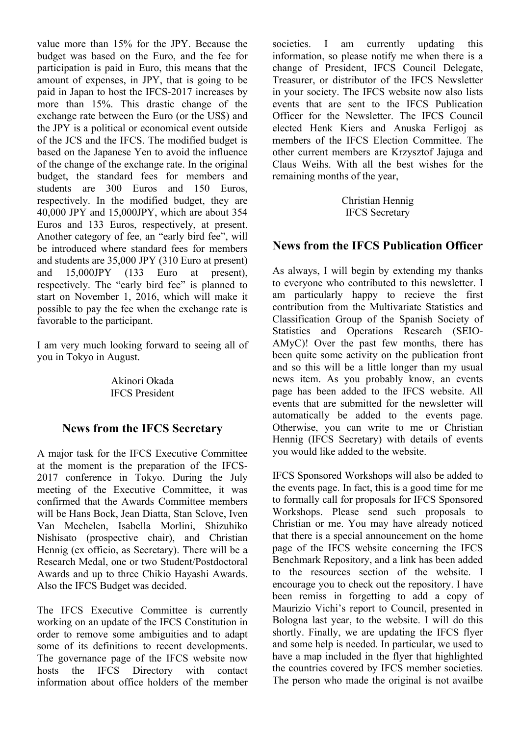value more than 15% for the JPY. Because the budget was based on the Euro, and the fee for participation is paid in Euro, this means that the amount of expenses, in JPY, that is going to be paid in Japan to host the IFCS-2017 increases by more than 15%. This drastic change of the exchange rate between the Euro (or the US\$) and the JPY is a political or economical event outside of the JCS and the IFCS. The modified budget is based on the Japanese Yen to avoid the influence of the change of the exchange rate. In the original budget, the standard fees for members and students are 300 Euros and 150 Euros, respectively. In the modified budget, they are 40,000 JPY and 15,000JPY, which are about 354 Euros and 133 Euros, respectively, at present. Another category of fee, an "early bird fee", will be introduced where standard fees for members and students are 35,000 JPY (310 Euro at present) and 15,000JPY (133 Euro at present), respectively. The "early bird fee" is planned to start on November 1, 2016, which will make it possible to pay the fee when the exchange rate is favorable to the participant.

I am very much looking forward to seeing all of you in Tokyo in August.

> Akinori Okada IFCS President

# **News from the IFCS Secretary**

A major task for the IFCS Executive Committee at the moment is the preparation of the IFCS-2017 conference in Tokyo. During the July meeting of the Executive Committee, it was confirmed that the Awards Committee members will be Hans Bock, Jean Diatta, Stan Sclove, Iven Van Mechelen, Isabella Morlini, Shizuhiko Nishisato (prospective chair), and Christian Hennig (ex officio, as Secretary). There will be a Research Medal, one or two Student/Postdoctoral Awards and up to three Chikio Hayashi Awards. Also the IFCS Budget was decided.

The IFCS Executive Committee is currently working on an update of the IFCS Constitution in order to remove some ambiguities and to adapt some of its definitions to recent developments. The governance page of the IFCS website now hosts the IFCS Directory with contact information about office holders of the member

societies. I am currently updating this information, so please notify me when there is a change of President, IFCS Council Delegate, Treasurer, or distributor of the IFCS Newsletter in your society. The IFCS website now also lists events that are sent to the IFCS Publication Officer for the Newsletter. The IFCS Council elected Henk Kiers and Anuska Ferligoj as members of the IFCS Election Committee. The other current members are Krzysztof Jajuga and Claus Weihs. With all the best wishes for the remaining months of the year,

> Christian Hennig IFCS Secretary

## **News from the IFCS Publication Officer**

As always, I will begin by extending my thanks to everyone who contributed to this newsletter. I am particularly happy to recieve the first contribution from the Multivariate Statistics and Classification Group of the Spanish Society of Statistics and Operations Research (SEIO-AMyC)! Over the past few months, there has been quite some activity on the publication front and so this will be a little longer than my usual news item. As you probably know, an events page has been added to the IFCS website. All events that are submitted for the newsletter will automatically be added to the events page. Otherwise, you can write to me or Christian Hennig (IFCS Secretary) with details of events you would like added to the website.

IFCS Sponsored Workshops will also be added to the events page. In fact, this is a good time for me to formally call for proposals for IFCS Sponsored Workshops. Please send such proposals to Christian or me. You may have already noticed that there is a special announcement on the home page of the IFCS website concerning the IFCS Benchmark Repository, and a link has been added to the resources section of the website. I encourage you to check out the repository. I have been remiss in forgetting to add a copy of Maurizio Vichi's report to Council, presented in Bologna last year, to the website. I will do this shortly. Finally, we are updating the IFCS flyer and some help is needed. In particular, we used to have a map included in the flyer that highlighted the countries covered by IFCS member societies. The person who made the original is not availbe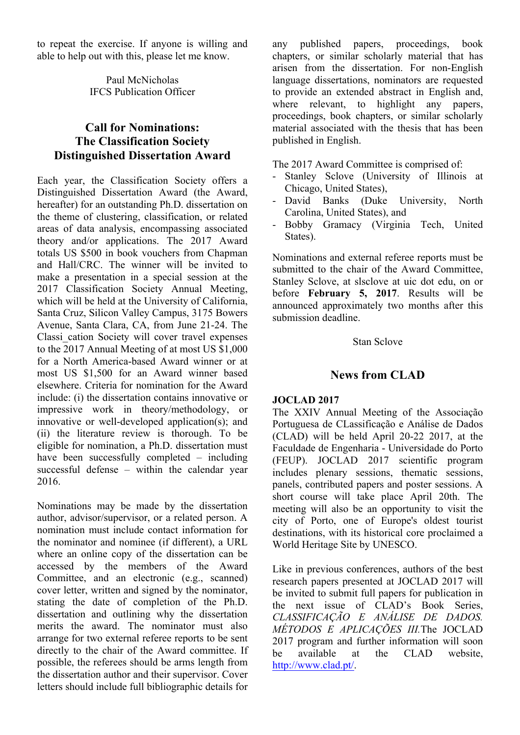to repeat the exercise. If anyone is willing and able to help out with this, please let me know.

> Paul McNicholas IFCS Publication Officer

# **Call for Nominations: The Classification Society Distinguished Dissertation Award**

Each year, the Classification Society offers a Distinguished Dissertation Award (the Award, hereafter) for an outstanding Ph.D. dissertation on the theme of clustering, classification, or related areas of data analysis, encompassing associated theory and/or applications. The 2017 Award totals US \$500 in book vouchers from Chapman and Hall/CRC. The winner will be invited to make a presentation in a special session at the 2017 Classification Society Annual Meeting, which will be held at the University of California, Santa Cruz, Silicon Valley Campus, 3175 Bowers Avenue, Santa Clara, CA, from June 21-24. The Classi\_cation Society will cover travel expenses to the 2017 Annual Meeting of at most US \$1,000 for a North America-based Award winner or at most US \$1,500 for an Award winner based elsewhere. Criteria for nomination for the Award include: (i) the dissertation contains innovative or impressive work in theory/methodology, or innovative or well-developed application(s); and (ii) the literature review is thorough. To be eligible for nomination, a Ph.D. dissertation must have been successfully completed – including successful defense – within the calendar year 2016.

Nominations may be made by the dissertation author, advisor/supervisor, or a related person. A nomination must include contact information for the nominator and nominee (if different), a URL where an online copy of the dissertation can be accessed by the members of the Award Committee, and an electronic (e.g., scanned) cover letter, written and signed by the nominator, stating the date of completion of the Ph.D. dissertation and outlining why the dissertation merits the award. The nominator must also arrange for two external referee reports to be sent directly to the chair of the Award committee. If possible, the referees should be arms length from the dissertation author and their supervisor. Cover letters should include full bibliographic details for any published papers, proceedings, book chapters, or similar scholarly material that has arisen from the dissertation. For non-English language dissertations, nominators are requested to provide an extended abstract in English and, where relevant, to highlight any papers, proceedings, book chapters, or similar scholarly material associated with the thesis that has been published in English.

The 2017 Award Committee is comprised of:

- Stanley Sclove (University of Illinois at Chicago, United States),
- David Banks (Duke University, North Carolina, United States), and
- Bobby Gramacy (Virginia Tech, United States).

Nominations and external referee reports must be submitted to the chair of the Award Committee, Stanley Sclove, at slsclove at uic dot edu, on or before **February 5, 2017**. Results will be announced approximately two months after this submission deadline.

#### Stan Sclove

# **News from CLAD**

#### **JOCLAD 2017**

The XXIV Annual Meeting of the Associação Portuguesa de CLassificação e Análise de Dados (CLAD) will be held April 20-22 2017, at the Faculdade de Engenharia - Universidade do Porto (FEUP). JOCLAD 2017 scientific program includes plenary sessions, thematic sessions, panels, contributed papers and poster sessions. A short course will take place April 20th. The meeting will also be an opportunity to visit the city of Porto, one of Europe's oldest tourist destinations, with its historical core proclaimed a World Heritage Site by UNESCO.

Like in previous conferences, authors of the best research papers presented at JOCLAD 2017 will be invited to submit full papers for publication in the next issue of CLAD's Book Series, *CLASSIFICAÇÃO E ANÁLISE DE DADOS. MÉTODOS E APLICAÇÕES III.*The JOCLAD 2017 program and further information will soon be available at the CLAD website, http://www.clad.pt/.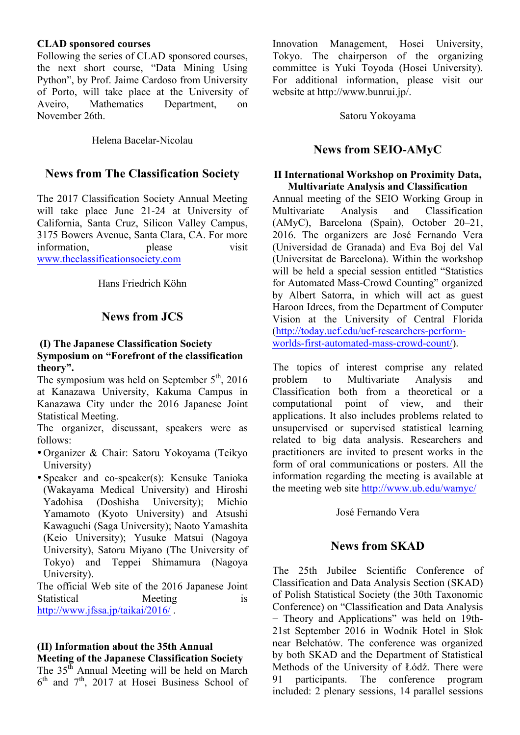#### **CLAD sponsored courses**

Following the series of CLAD sponsored courses, the next short course, "Data Mining Using Python", by Prof. Jaime Cardoso from University of Porto, will take place at the University of Aveiro, Mathematics Department, on November 26th.

Helena Bacelar-Nicolau

### **News from The Classification Society**

The 2017 Classification Society Annual Meeting will take place June 21-24 at University of California, Santa Cruz, Silicon Valley Campus, 3175 Bowers Avenue, Santa Clara, CA. For more information, please visit www.theclassificationsociety.com

Hans Friedrich Köhn

# **News from JCS**

#### **(I) The Japanese Classification Society Symposium on "Forefront of the classification theory".**

The symposium was held on September  $5<sup>th</sup>$ , 2016 at Kanazawa University, Kakuma Campus in Kanazawa City under the 2016 Japanese Joint Statistical Meeting.

The organizer, discussant, speakers were as follows:

- •Organizer & Chair: Satoru Yokoyama (Teikyo University)
- •Speaker and co-speaker(s): Kensuke Tanioka (Wakayama Medical University) and Hiroshi Yadohisa (Doshisha University); Michio Yamamoto (Kyoto University) and Atsushi Kawaguchi (Saga University); Naoto Yamashita (Keio University); Yusuke Matsui (Nagoya University), Satoru Miyano (The University of Tokyo) and Teppei Shimamura (Nagoya University).

The official Web site of the 2016 Japanese Joint Statistical Meeting is http://www.jfssa.jp/taikai/2016/ .

#### **(II) Information about the 35th Annual Meeting of the Japanese Classification Society**

The  $35<sup>th</sup>$  Annual Meeting will be held on March  $6<sup>th</sup>$  and  $7<sup>th</sup>$ , 2017 at Hosei Business School of Innovation Management, Hosei University, Tokyo. The chairperson of the organizing committee is Yuki Toyoda (Hosei University). For additional information, please visit our website at http://www.bunrui.jp/.

Satoru Yokoyama

# **News from SEIO-AMyC**

#### **II International Workshop on Proximity Data, Multivariate Analysis and Classification**

Annual meeting of the SEIO Working Group in Multivariate Analysis and Classification (AMyC), Barcelona (Spain), October 20–21, 2016. The organizers are José Fernando Vera (Universidad de Granada) and Eva Boj del Val (Universitat de Barcelona). Within the workshop will be held a special session entitled "Statistics for Automated Mass-Crowd Counting" organized by Albert Satorra, in which will act as guest Haroon Idrees, from the Department of Computer Vision at the University of Central Florida (http://today.ucf.edu/ucf-researchers-performworlds-first-automated-mass-crowd-count/).

The topics of interest comprise any related problem to Multivariate Analysis and Classification both from a theoretical or a computational point of view, and their applications. It also includes problems related to unsupervised or supervised statistical learning related to big data analysis. Researchers and practitioners are invited to present works in the form of oral communications or posters. All the information regarding the meeting is available at the meeting web site http://www.ub.edu/wamyc/

José Fernando Vera

# **News from SKAD**

The 25th Jubilee Scientific Conference of Classification and Data Analysis Section (SKAD) of Polish Statistical Society (the 30th Taxonomic Conference) on "Classification and Data Analysis − Theory and Applicationsˮ was held on 19th-21st September 2016 in Wodnik Hotel in Słok near Bełchatów. The conference was organized by both SKAD and the Department of Statistical Methods of the University of Łódź. There were 91 participants. The conference program included: 2 plenary sessions, 14 parallel sessions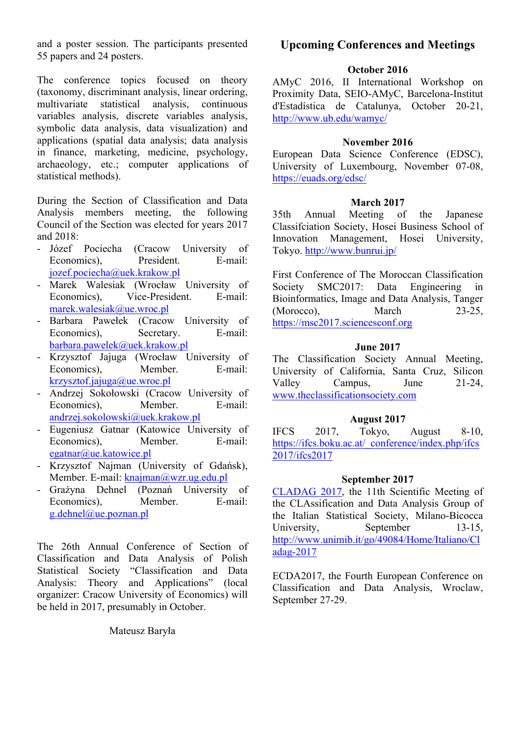and a poster session. The participants presented 55 papers and 24 posters.

The conference topics focused on theory (taxonomy, discriminant analysis, linear ordering, multivariate statistical analysis, continuous variables analysis, discrete variables analysis, symbolic data analysis, data visualization) and applications (spatial data analysis; data analysis in finance, marketing, medicine, psychology, archaeology, etc.; computer applications of statistical methods).

During the Section of Classification and Data Analysis members meeting, the following Council of the Section was elected for years 2017 and  $2018$ <sup>c</sup>

- Józef Pociecha (Cracow University of Economics), President. E-mail: jozef.pociecha@uek.krakow.pl
- Marek Walesiak (Wrocław University of Economics), Vice-President. E-mail: marek.walesiak@ue.wroc.pl
- Barbara Pawełek (Cracow University of Economics), Secretary. E-mail: barbara.pawelek@uek.krakow.pl
- Krzysztof Jajuga (Wrocław University of Economics), Member. E-mail: krzysztof.jajuga@ue.wroc.pl
- Andrzej Sokołowski (Cracow University of Economics), Member. E-mail: andrzej.sokolowski@uek.krakow.pl
- Eugeniusz Gatnar (Katowice University of Economics), Member. E-mail: egatnar@ue.katowice.pl
- Krzysztof Najman (University of Gdańsk), Member. E-mail: knajman@wzr.ug.edu.pl
- Grażyna Dehnel (Poznań University of Economics), Member. E-mail: g.dehnel@ue.poznan.pl

The 26th Annual Conference of Section of Classification and Data Analysis of Polish Statistical Society "Classification and Data Analysis: Theory and Applications" (local organizer: Cracow University of Economics) will be held in 2017, presumably in October.

Mateusz Baryła

# **Upcoming Conferences and Meetings**

### **October 2016**

AMyC 2016, II International Workshop on Proximity Data, SEIO-AMyC, Barcelona-Institut d'Estadística de Catalunya, October 20-21, http://www.ub.edu/wamyc/

#### **November 2016**

European Data Science Conference (EDSC), University of Luxembourg, November 07-08, https://euads.org/edsc/

#### **March 2017**

35th Annual Meeting of the Japanese Classifciation Society, Hosei Business School of Innovation Management, Hosei University, Tokyo. http://www.bunrui.jp/

First Conference of The Moroccan Classification Society SMC2017: Data Engineering Bioinformatics, Image and Data Analysis, Tanger (Morocco), March 23-25, https://msc2017.sciencesconf.org

### **June 2017**

The Classification Society Annual Meeting, University of California, Santa Cruz, Silicon Valley Campus, June 21-24, www.theclassificationsociety.com

### **August 2017**

IFCS 2017, Tokyo, August 8-10, https://ifcs.boku.ac.at/\_conference/index.php/ifcs 2017/ifcs2017

### **September 2017**

CLADAG 2017, the 11th Scientific Meeting of the CLAssification and Data Analysis Group of the Italian Statistical Society, Milano-Bicocca University, September 13-15, http://www.unimib.it/go/49084/Home/Italiano/Cl adag-2017

ECDA2017, the Fourth European Conference on Classification and Data Analysis, Wroclaw, September 27-29.